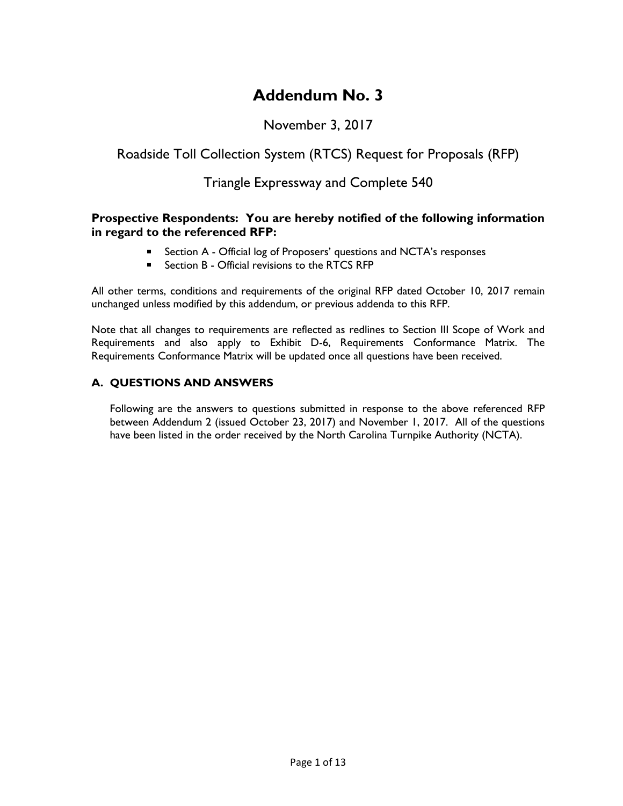# **Addendum No. 3**

# November 3, 2017

# Roadside Toll Collection System (RTCS) Request for Proposals (RFP)

### Triangle Expressway and Complete 540

#### **Prospective Respondents: You are hereby notified of the following information in regard to the referenced RFP:**

- **E** Section A Official log of Proposers' questions and NCTA's responses
- Section B Official revisions to the RTCS RFP

All other terms, conditions and requirements of the original RFP dated October 10, 2017 remain unchanged unless modified by this addendum, or previous addenda to this RFP.

Note that all changes to requirements are reflected as redlines to Section III Scope of Work and Requirements and also apply to Exhibit D-6, Requirements Conformance Matrix. The Requirements Conformance Matrix will be updated once all questions have been received.

### **A. QUESTIONS AND ANSWERS**

Following are the answers to questions submitted in response to the above referenced RFP between Addendum 2 (issued October 23, 2017) and November 1, 2017. All of the questions have been listed in the order received by the North Carolina Turnpike Authority (NCTA).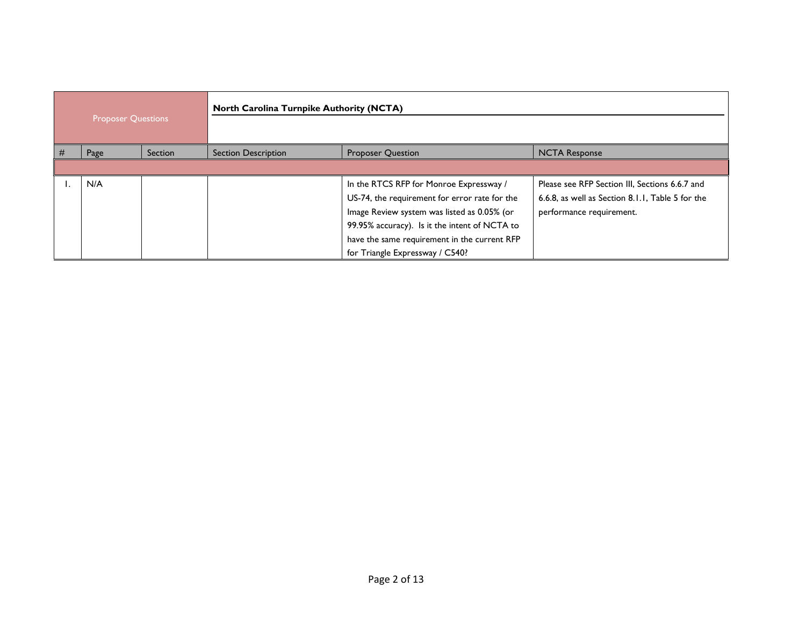| <b>Proposer Questions</b> |      |         | <b>North Carolina Turnpike Authority (NCTA)</b> |                                               |                                                  |
|---------------------------|------|---------|-------------------------------------------------|-----------------------------------------------|--------------------------------------------------|
| #                         | Page | Section | <b>Section Description</b>                      | <b>Proposer Question</b>                      | <b>NCTA Response</b>                             |
|                           |      |         |                                                 |                                               |                                                  |
|                           | N/A  |         |                                                 | In the RTCS RFP for Monroe Expressway /       | Please see RFP Section III, Sections 6.6.7 and   |
|                           |      |         |                                                 | US-74, the requirement for error rate for the | 6.6.8, as well as Section 8.1.1, Table 5 for the |
|                           |      |         |                                                 | Image Review system was listed as 0.05% (or   | performance requirement.                         |
|                           |      |         |                                                 | 99.95% accuracy). Is it the intent of NCTA to |                                                  |
|                           |      |         |                                                 | have the same requirement in the current RFP  |                                                  |
|                           |      |         |                                                 | for Triangle Expressway / C540?               |                                                  |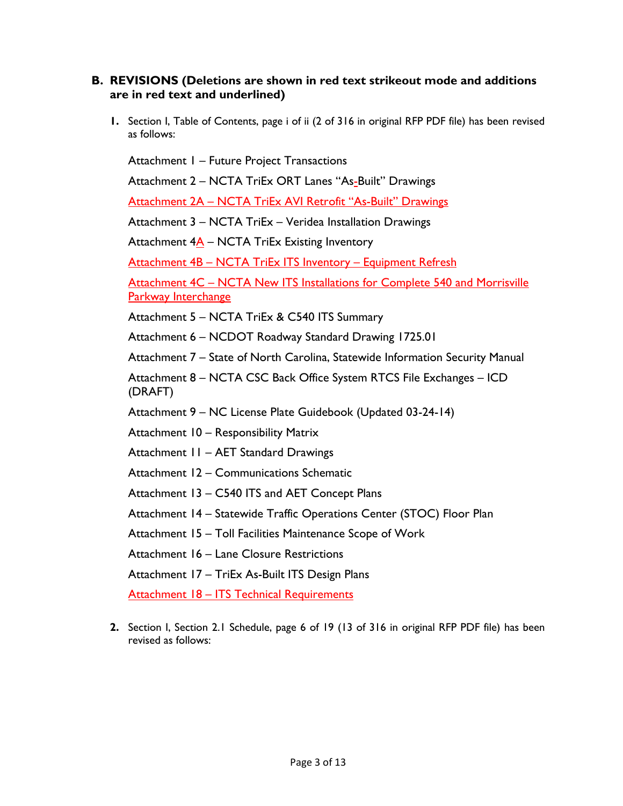#### **B. REVISIONS (Deletions are shown in red text strikeout mode and additions are in red text and underlined)**

**1.** Section I, Table of Contents, page i of ii (2 of 316 in original RFP PDF file) has been revised as follows:

Attachment 1 – Future Project Transactions

Attachment 2 – NCTA TriEx ORT Lanes "As-Built" Drawings

Attachment 2A – NCTA TriEx AVI Retrofit "As-Built" Drawings

Attachment 3 – NCTA TriEx – Veridea Installation Drawings

Attachment  $4\underline{A}$  – NCTA TriEx Existing Inventory

Attachment 4B – NCTA TriEx ITS Inventory – Equipment Refresh

Attachment 4C – NCTA New ITS Installations for Complete 540 and Morrisville Parkway Interchange

Attachment 5 – NCTA TriEx & C540 ITS Summary

Attachment 6 – NCDOT Roadway Standard Drawing 1725.01

Attachment 7 – State of North Carolina, Statewide Information Security Manual

Attachment 8 – NCTA CSC Back Office System RTCS File Exchanges – ICD (DRAFT)

Attachment 9 – NC License Plate Guidebook (Updated 03-24-14)

Attachment 10 – Responsibility Matrix

Attachment 11 – AET Standard Drawings

Attachment 12 – Communications Schematic

Attachment 13 – C540 ITS and AET Concept Plans

Attachment 14 – Statewide Traffic Operations Center (STOC) Floor Plan

Attachment 15 – Toll Facilities Maintenance Scope of Work

Attachment 16 – Lane Closure Restrictions

Attachment 17 – TriEx As-Built ITS Design Plans

**Attachment 18 – ITS Technical Requirements** 

**2.** Section I, Section 2.1 Schedule, page 6 of 19 (13 of 316 in original RFP PDF file) has been revised as follows: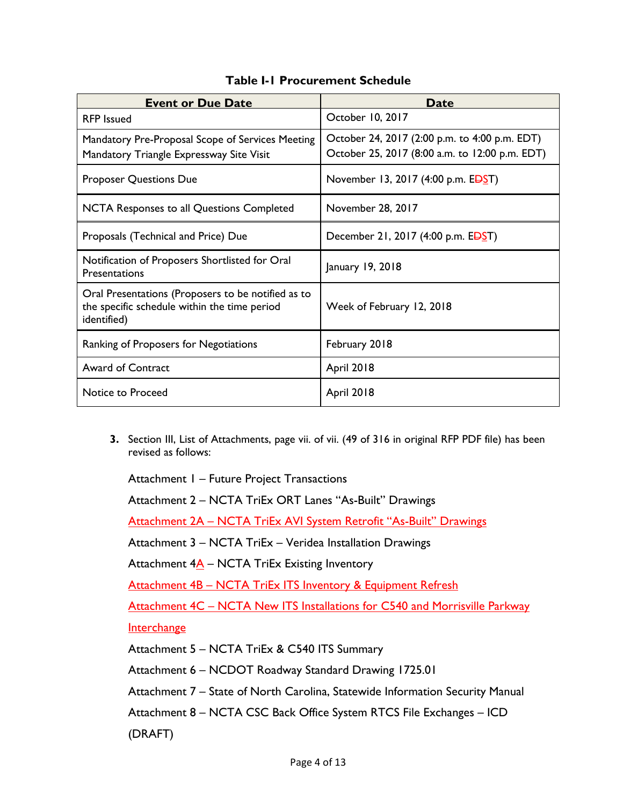| <b>Event or Due Date</b>                                                                                          | <b>Date</b>                                                                                     |
|-------------------------------------------------------------------------------------------------------------------|-------------------------------------------------------------------------------------------------|
| <b>RFP</b> Issued                                                                                                 | October 10, 2017                                                                                |
| Mandatory Pre-Proposal Scope of Services Meeting<br>Mandatory Triangle Expressway Site Visit                      | October 24, 2017 (2:00 p.m. to 4:00 p.m. EDT)<br>October 25, 2017 (8:00 a.m. to 12:00 p.m. EDT) |
| <b>Proposer Questions Due</b>                                                                                     | November 13, 2017 (4:00 p.m. EDST)                                                              |
| NCTA Responses to all Questions Completed                                                                         | November 28, 2017                                                                               |
| Proposals (Technical and Price) Due                                                                               | December 21, 2017 (4:00 p.m. EDST)                                                              |
| Notification of Proposers Shortlisted for Oral<br><b>Presentations</b>                                            | January 19, 2018                                                                                |
| Oral Presentations (Proposers to be notified as to<br>the specific schedule within the time period<br>identified) | Week of February 12, 2018                                                                       |
| Ranking of Proposers for Negotiations                                                                             | February 2018                                                                                   |
| <b>Award of Contract</b>                                                                                          | <b>April 2018</b>                                                                               |
| Notice to Proceed                                                                                                 | <b>April 2018</b>                                                                               |

### **Table I-1 Procurement Schedule**

**3.** Section III, List of Attachments, page vii. of vii. (49 of 316 in original RFP PDF file) has been revised as follows:

Attachment 1 – Future Project Transactions

Attachment 2 – NCTA TriEx ORT Lanes "As-Built" Drawings

Attachment 2A – NCTA TriEx AVI System Retrofit "As-Built" Drawings

Attachment 3 – NCTA TriEx – Veridea Installation Drawings

Attachment  $4\underline{A}$  – NCTA TriEx Existing Inventory

Attachment 4B – NCTA TriEx ITS Inventory & Equipment Refresh

Attachment 4C - NCTA New ITS Installations for C540 and Morrisville Parkway

**Interchange** 

Attachment 5 – NCTA TriEx & C540 ITS Summary

Attachment 6 – NCDOT Roadway Standard Drawing 1725.01

Attachment 7 – State of North Carolina, Statewide Information Security Manual

Attachment 8 – NCTA CSC Back Office System RTCS File Exchanges – ICD

(DRAFT)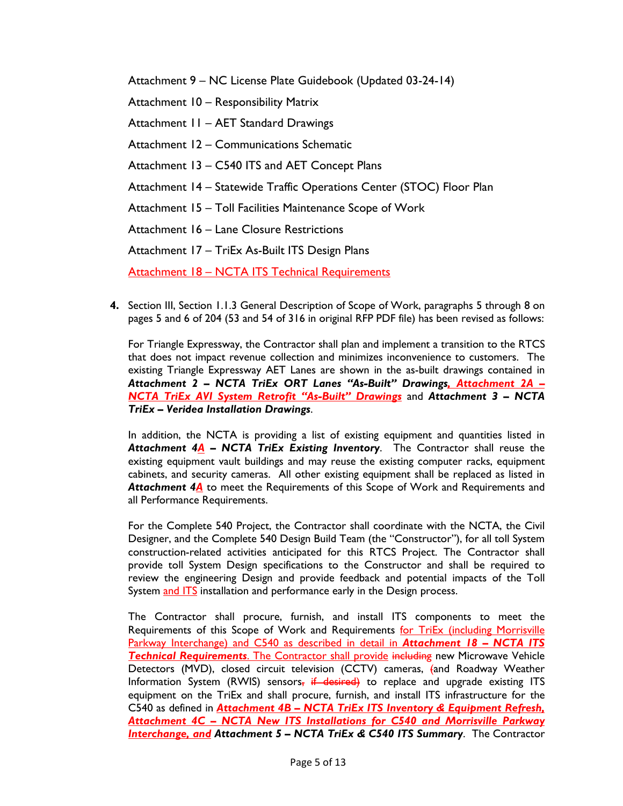Attachment 9 – NC License Plate Guidebook (Updated 03-24-14)

Attachment 10 – Responsibility Matrix

Attachment 11 – AET Standard Drawings

Attachment 12 – Communications Schematic

Attachment 13 – C540 ITS and AET Concept Plans

Attachment 14 – Statewide Traffic Operations Center (STOC) Floor Plan

Attachment 15 – Toll Facilities Maintenance Scope of Work

Attachment 16 – Lane Closure Restrictions

Attachment 17 – TriEx As-Built ITS Design Plans

Attachment 18 - NCTA ITS Technical Requirements

**4.** Section III, Section 1.1.3 General Description of Scope of Work, paragraphs 5 through 8 on pages 5 and 6 of 204 (53 and 54 of 316 in original RFP PDF file) has been revised as follows:

For Triangle Expressway, the Contractor shall plan and implement a transition to the RTCS that does not impact revenue collection and minimizes inconvenience to customers. The existing Triangle Expressway AET Lanes are shown in the as-built drawings contained in *Attachment 2 – NCTA TriEx ORT Lanes "As-Built" Drawings, Attachment 2A – NCTA TriEx AVI System Retrofit "As-Built" Drawings* and *Attachment 3 – NCTA TriEx – Veridea Installation Drawings*.

In addition, the NCTA is providing a list of existing equipment and quantities listed in *Attachment 4A – NCTA TriEx Existing Inventory*. The Contractor shall reuse the existing equipment vault buildings and may reuse the existing computer racks, equipment cabinets, and security cameras. All other existing equipment shall be replaced as listed in Attachment 4<sup>A</sup> to meet the Requirements of this Scope of Work and Requirements and all Performance Requirements.

For the Complete 540 Project, the Contractor shall coordinate with the NCTA, the Civil Designer, and the Complete 540 Design Build Team (the "Constructor"), for all toll System construction-related activities anticipated for this RTCS Project. The Contractor shall provide toll System Design specifications to the Constructor and shall be required to review the engineering Design and provide feedback and potential impacts of the Toll System and ITS installation and performance early in the Design process.

The Contractor shall procure, furnish, and install ITS components to meet the Requirements of this Scope of Work and Requirements for TriEx (including Morrisville Parkway Interchange) and C540 as described in detail in *Attachment 18 – NCTA ITS*  **Technical Requirements**. The Contractor shall provide including new Microwave Vehicle Detectors (MVD), closed circuit television (CCTV) cameras, (and Roadway Weather Information System (RWIS) sensors, if desired) to replace and upgrade existing ITS equipment on the TriEx and shall procure, furnish, and install ITS infrastructure for the C540 as defined in *Attachment 4B – NCTA TriEx ITS Inventory & Equipment Refresh, Attachment 4C – NCTA New ITS Installations for C540 and Morrisville Parkway Interchange, and Attachment 5 – NCTA TriEx & C540 ITS Summary*. The Contractor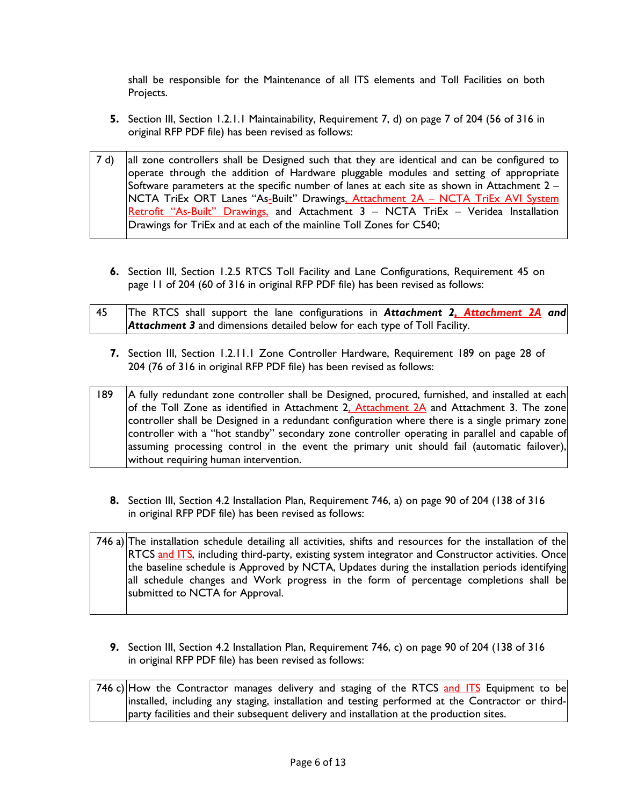shall be responsible for the Maintenance of all ITS elements and Toll Facilities on both Projects.

- **5.** Section III, Section 1.2.1.1 Maintainability, Requirement 7, d) on page 7 of 204 (56 of 316 in original RFP PDF file) has been revised as follows:
- 7 d) all zone controllers shall be Designed such that they are identical and can be configured to operate through the addition of Hardware pluggable modules and setting of appropriate Software parameters at the specific number of lanes at each site as shown in Attachment 2 – NCTA TriEx ORT Lanes "As-Built" Drawings, Attachment 2A - NCTA TriEx AVI System Retrofit "As-Built" Drawings, and Attachment  $3 - NCTA$  TriEx – Veridea Installation Drawings for TriEx and at each of the mainline Toll Zones for C540;
	- **6.** Section III, Section 1.2.5 RTCS Toll Facility and Lane Configurations, Requirement 45 on page 11 of 204 (60 of 316 in original RFP PDF file) has been revised as follows:

| 45 | The RTCS shall support the lane configurations in Attachment 2, Attachment 2A and |  |
|----|-----------------------------------------------------------------------------------|--|
|    | <b>Attachment 3</b> and dimensions detailed below for each type of Toll Facility. |  |

**7.** Section III, Section 1.2.11.1 Zone Controller Hardware, Requirement 189 on page 28 of 204 (76 of 316 in original RFP PDF file) has been revised as follows:

189 | A fully redundant zone controller shall be Designed, procured, furnished, and installed at each of the Toll Zone as identified in Attachment 2, Attachment 2A and Attachment 3. The zone controller shall be Designed in a redundant configuration where there is a single primary zone controller with a "hot standby" secondary zone controller operating in parallel and capable of assuming processing control in the event the primary unit should fail (automatic failover), without requiring human intervention.

**8.** Section III, Section 4.2 Installation Plan, Requirement 746, a) on page 90 of 204 (138 of 316 in original RFP PDF file) has been revised as follows:

746 a) The installation schedule detailing all activities, shifts and resources for the installation of the RTCS and ITS, including third-party, existing system integrator and Constructor activities. Once the baseline schedule is Approved by NCTA, Updates during the installation periods identifying all schedule changes and Work progress in the form of percentage completions shall be submitted to NCTA for Approval.

**9.** Section III, Section 4.2 Installation Plan, Requirement 746, c) on page 90 of 204 (138 of 316 in original RFP PDF file) has been revised as follows:

746 c) How the Contractor manages delivery and staging of the RTCS and ITS Equipment to be installed, including any staging, installation and testing performed at the Contractor or thirdparty facilities and their subsequent delivery and installation at the production sites.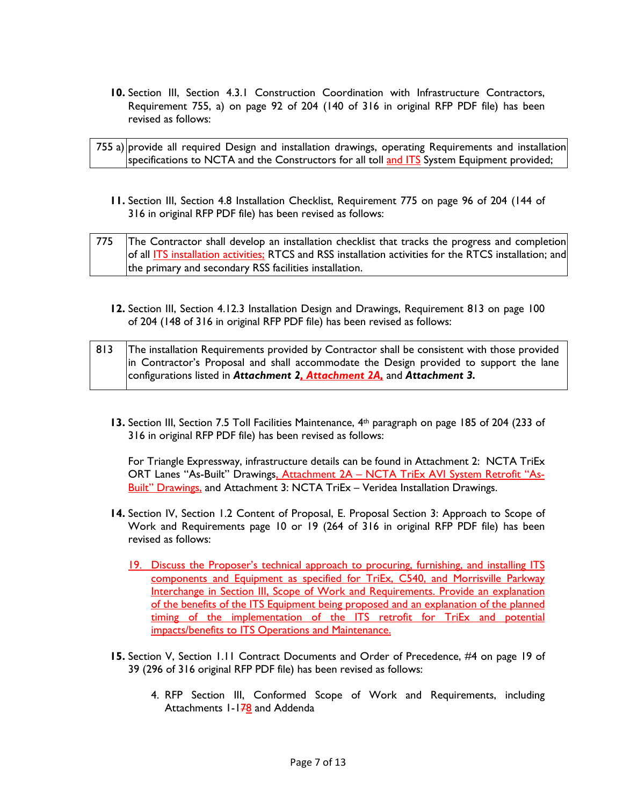**10.** Section III, Section 4.3.1 Construction Coordination with Infrastructure Contractors, Requirement 755, a) on page 92 of 204 (140 of 316 in original RFP PDF file) has been revised as follows:

| 755 a) provide all required Design and installation drawings, operating Requirements and installation |  |
|-------------------------------------------------------------------------------------------------------|--|
| specifications to NCTA and the Constructors for all toll and ITS System Equipment provided;           |  |

**11.** Section III, Section 4.8 Installation Checklist, Requirement 775 on page 96 of 204 (144 of 316 in original RFP PDF file) has been revised as follows:

| 775 | The Contractor shall develop an installation checklist that tracks the progress and completion          |
|-----|---------------------------------------------------------------------------------------------------------|
|     | of all ITS installation activities; RTCS and RSS installation activities for the RTCS installation; and |
|     | the primary and secondary RSS facilities installation.                                                  |

**12.** Section III, Section 4.12.3 Installation Design and Drawings, Requirement 813 on page 100 of 204 (148 of 316 in original RFP PDF file) has been revised as follows:

| 813 | The installation Requirements provided by Contractor shall be consistent with those provided |
|-----|----------------------------------------------------------------------------------------------|
|     | in Contractor's Proposal and shall accommodate the Design provided to support the lane       |
|     | configurations listed in Attachment 2, Attachment 2A, and Attachment 3.                      |

**13.** Section III, Section 7.5 Toll Facilities Maintenance, 4th paragraph on page 185 of 204 (233 of 316 in original RFP PDF file) has been revised as follows:

For Triangle Expressway, infrastructure details can be found in Attachment 2: NCTA TriEx ORT Lanes "As-Built" Drawings, Attachment 2A - NCTA TriEx AVI System Retrofit "As-Built" Drawings, and Attachment 3: NCTA TriEx - Veridea Installation Drawings.

- **14.** Section IV, Section 1.2 Content of Proposal, E. Proposal Section 3: Approach to Scope of Work and Requirements page 10 or 19 (264 of 316 in original RFP PDF file) has been revised as follows:
	- 19. Discuss the Proposer's technical approach to procuring, furnishing, and installing ITS components and Equipment as specified for TriEx, C540, and Morrisville Parkway Interchange in Section III, Scope of Work and Requirements. Provide an explanation of the benefits of the ITS Equipment being proposed and an explanation of the planned timing of the implementation of the ITS retrofit for TriEx and potential impacts/benefits to ITS Operations and Maintenance.
- **15.** Section V, Section 1.11 Contract Documents and Order of Precedence, #4 on page 19 of 39 (296 of 316 original RFP PDF file) has been revised as follows:
	- 4. RFP Section III, Conformed Scope of Work and Requirements, including Attachments 1-178 and Addenda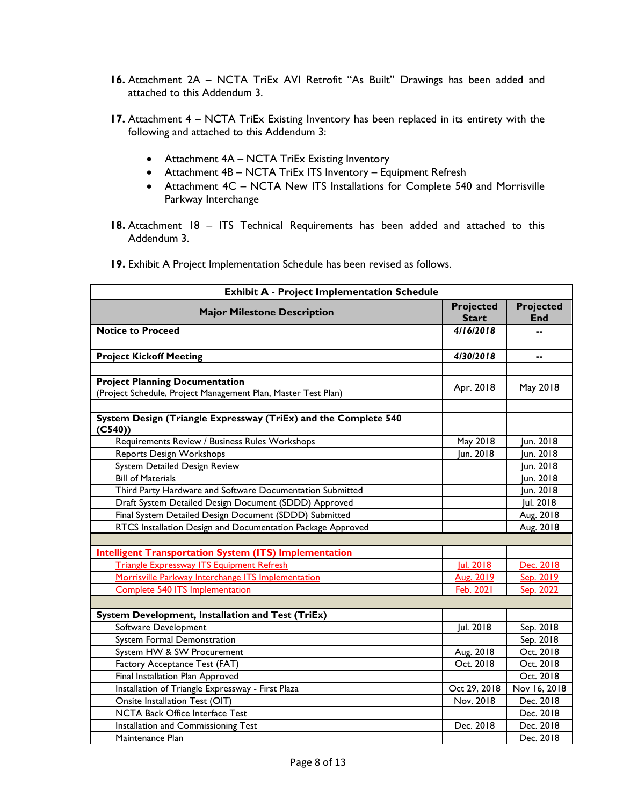- **16.** Attachment 2A NCTA TriEx AVI Retrofit "As Built" Drawings has been added and attached to this Addendum 3.
- 17. Attachment 4 NCTA TriEx Existing Inventory has been replaced in its entirety with the following and attached to this Addendum 3:
	- Attachment 4A NCTA TriEx Existing Inventory
	- Attachment 4B NCTA TriEx ITS Inventory Equipment Refresh
	- Attachment 4C NCTA New ITS Installations for Complete 540 and Morrisville Parkway Interchange
- **18.** Attachment 18 ITS Technical Requirements has been added and attached to this Addendum 3.
- **19.** Exhibit A Project Implementation Schedule has been revised as follows.

| <b>Exhibit A - Project Implementation Schedule</b>                        |                                  |                                |
|---------------------------------------------------------------------------|----------------------------------|--------------------------------|
| <b>Major Milestone Description</b>                                        | <b>Projected</b><br><b>Start</b> | <b>Projected</b><br><b>End</b> |
| <b>Notice to Proceed</b>                                                  | 4/16/2018                        |                                |
|                                                                           |                                  |                                |
| <b>Project Kickoff Meeting</b>                                            | 4/30/2018                        | --                             |
|                                                                           |                                  |                                |
| <b>Project Planning Documentation</b>                                     | Apr. 2018                        | May 2018                       |
| (Project Schedule, Project Management Plan, Master Test Plan)             |                                  |                                |
|                                                                           |                                  |                                |
| System Design (Triangle Expressway (TriEx) and the Complete 540<br>(C540) |                                  |                                |
| Requirements Review / Business Rules Workshops                            | May 2018                         | Jun. 2018                      |
| Reports Design Workshops                                                  | Jun. 2018                        | Jun. 2018                      |
| System Detailed Design Review                                             |                                  | Jun. 2018                      |
| <b>Bill of Materials</b>                                                  |                                  | Jun. 2018                      |
| Third Party Hardware and Software Documentation Submitted                 |                                  | Jun. 2018                      |
| Draft System Detailed Design Document (SDDD) Approved                     |                                  | Jul. 2018                      |
| Final System Detailed Design Document (SDDD) Submitted                    |                                  | Aug. 2018                      |
| RTCS Installation Design and Documentation Package Approved               |                                  | Aug. 2018                      |
|                                                                           |                                  |                                |
| <b>Intelligent Transportation System (ITS) Implementation</b>             |                                  |                                |
| <b>Triangle Expressway ITS Equipment Refresh</b>                          | Jul. 2018                        | Dec. 2018                      |
| Morrisville Parkway Interchange ITS Implementation                        | Aug. 2019                        | Sep. 2019                      |
| <b>Complete 540 ITS Implementation</b>                                    | Feb. 2021                        | Sep. 2022                      |
|                                                                           |                                  |                                |
| System Development, Installation and Test (TriEx)                         |                                  |                                |
| Software Development                                                      | Jul. 2018                        | Sep. 2018                      |
| <b>System Formal Demonstration</b>                                        |                                  | Sep. 2018                      |
| System HW & SW Procurement                                                | Aug. 2018                        | Oct. 2018                      |
| Factory Acceptance Test (FAT)                                             | Oct. 2018                        | Oct. 2018                      |
| Final Installation Plan Approved                                          |                                  | Oct. 2018                      |
| Installation of Triangle Expressway - First Plaza                         | Oct 29, 2018                     | Nov 16, 2018                   |
| Onsite Installation Test (OIT)                                            | Nov. 2018                        | Dec. 2018                      |
| <b>NCTA Back Office Interface Test</b>                                    |                                  | Dec. 2018                      |
| Installation and Commissioning Test                                       | Dec. 2018                        | Dec. 2018                      |
| Maintenance Plan                                                          |                                  | Dec. 2018                      |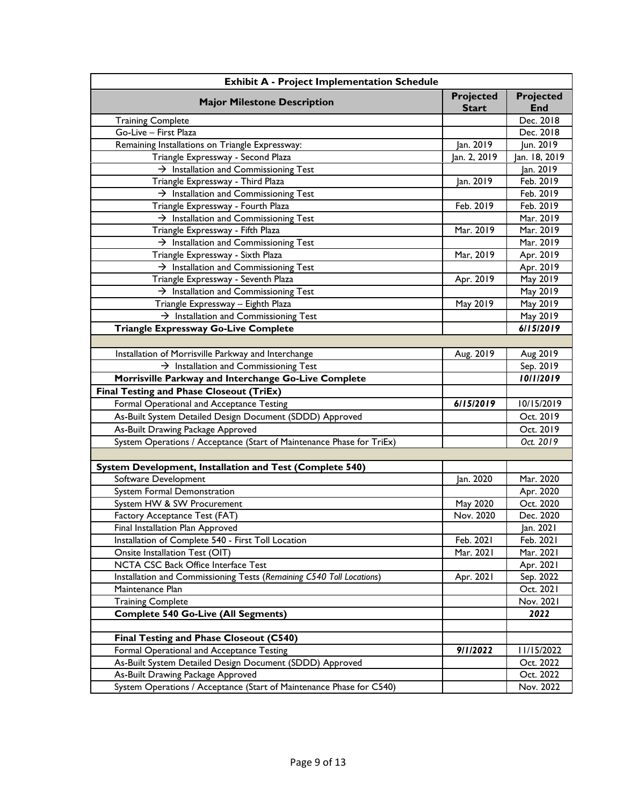| <b>Exhibit A - Project Implementation Schedule</b>                    |              |               |  |
|-----------------------------------------------------------------------|--------------|---------------|--|
| <b>Major Milestone Description</b>                                    | Projected    | Projected     |  |
|                                                                       | <b>Start</b> | <b>End</b>    |  |
| <b>Training Complete</b>                                              |              | Dec. 2018     |  |
| Go-Live - First Plaza                                                 |              | Dec. 2018     |  |
| Remaining Installations on Triangle Expressway:                       | Jan. 2019    | Jun. 2019     |  |
| Triangle Expressway - Second Plaza                                    | Jan. 2, 2019 | Jan. 18, 2019 |  |
| $\rightarrow$ Installation and Commissioning Test                     |              | Jan. 2019     |  |
| Triangle Expressway - Third Plaza                                     | Jan. 2019    | Feb. 2019     |  |
| $\rightarrow$ Installation and Commissioning Test                     |              | Feb. 2019     |  |
| Triangle Expressway - Fourth Plaza                                    | Feb. 2019    | Feb. 2019     |  |
| $\rightarrow$ Installation and Commissioning Test                     |              | Mar. 2019     |  |
| Triangle Expressway - Fifth Plaza                                     | Mar. 2019    | Mar. 2019     |  |
| $\rightarrow$ Installation and Commissioning Test                     |              | Mar. 2019     |  |
| Triangle Expressway - Sixth Plaza                                     | Mar, 2019    | Apr. 2019     |  |
| $\rightarrow$ Installation and Commissioning Test                     |              | Apr. 2019     |  |
| Triangle Expressway - Seventh Plaza                                   | Apr. 2019    | May 2019      |  |
| $\rightarrow$ Installation and Commissioning Test                     |              | May 2019      |  |
| Triangle Expressway - Eighth Plaza                                    | May 2019     | May 2019      |  |
| $\rightarrow$ Installation and Commissioning Test                     |              | May 2019      |  |
| Triangle Expressway Go-Live Complete                                  |              | 6/15/2019     |  |
|                                                                       |              |               |  |
| Installation of Morrisville Parkway and Interchange                   | Aug. 2019    | Aug 2019      |  |
| $\rightarrow$ Installation and Commissioning Test                     |              | Sep. 2019     |  |
| Morrisville Parkway and Interchange Go-Live Complete                  |              | 10/1/2019     |  |
| <b>Final Testing and Phase Closeout (TriEx)</b>                       |              |               |  |
| Formal Operational and Acceptance Testing                             | 6/15/2019    | 10/15/2019    |  |
| As-Built System Detailed Design Document (SDDD) Approved              |              | Oct. 2019     |  |
| As-Built Drawing Package Approved                                     |              | Oct. 2019     |  |
| System Operations / Acceptance (Start of Maintenance Phase for TriEx) |              | Oct. 2019     |  |
|                                                                       |              |               |  |
| System Development, Installation and Test (Complete 540)              |              |               |  |
| Software Development                                                  | Jan. 2020    | Mar. 2020     |  |
| System Formal Demonstration                                           |              | Apr. 2020     |  |
| System HW & SW Procurement                                            | May 2020     | Oct. 2020     |  |
| Factory Acceptance Test (FAT)                                         | Nov. 2020    | Dec. 2020     |  |
| Final Installation Plan Approved                                      |              | Jan. 2021     |  |
| Installation of Complete 540 - First Toll Location                    | Feb. 2021    | Feb. 2021     |  |
| Onsite Installation Test (OIT)                                        | Mar. 2021    | Mar. 2021     |  |
| NCTA CSC Back Office Interface Test                                   |              | Apr. 2021     |  |
| Installation and Commissioning Tests (Remaining C540 Toll Locations)  | Apr. 2021    | Sep. 2022     |  |
| Maintenance Plan                                                      |              | Oct. 2021     |  |
| <b>Training Complete</b>                                              |              | Nov. 2021     |  |
| <b>Complete 540 Go-Live (All Segments)</b>                            |              | 2022          |  |
|                                                                       |              |               |  |
| Final Testing and Phase Closeout (C540)                               |              |               |  |
| Formal Operational and Acceptance Testing                             | 9/1/2022     | 11/15/2022    |  |
| As-Built System Detailed Design Document (SDDD) Approved              |              | Oct. 2022     |  |
| As-Built Drawing Package Approved                                     |              | Oct. 2022     |  |
| System Operations / Acceptance (Start of Maintenance Phase for C540)  |              | Nov. 2022     |  |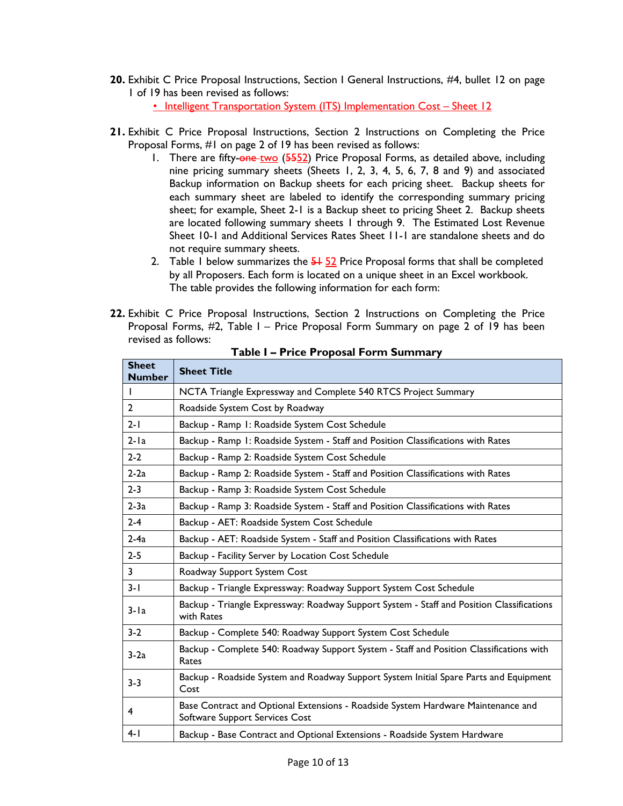**20.** Exhibit C Price Proposal Instructions, Section I General Instructions, #4, bullet 12 on page 1 of 19 has been revised as follows:

• Intelligent Transportation System (ITS) Implementation Cost - Sheet 12

- **21.** Exhibit C Price Proposal Instructions, Section 2 Instructions on Completing the Price Proposal Forms, #1 on page 2 of 19 has been revised as follows:
	- 1. There are fifty-one-two (5552) Price Proposal Forms, as detailed above, including nine pricing summary sheets (Sheets 1, 2, 3, 4, 5, 6, 7, 8 and 9) and associated Backup information on Backup sheets for each pricing sheet. Backup sheets for each summary sheet are labeled to identify the corresponding summary pricing sheet; for example, Sheet 2-1 is a Backup sheet to pricing Sheet 2. Backup sheets are located following summary sheets 1 through 9. The Estimated Lost Revenue Sheet 10-1 and Additional Services Rates Sheet 11-1 are standalone sheets and do not require summary sheets.
	- 2. Table 1 below summarizes the  $\frac{51}{22}$  Price Proposal forms that shall be completed by all Proposers. Each form is located on a unique sheet in an Excel workbook. The table provides the following information for each form:
- **22.** Exhibit C Price Proposal Instructions, Section 2 Instructions on Completing the Price Proposal Forms, #2, Table I – Price Proposal Form Summary on page 2 of 19 has been revised as follows:

| <b>Sheet</b><br><b>Number</b> | <b>Sheet Title</b>                                                                                                 |
|-------------------------------|--------------------------------------------------------------------------------------------------------------------|
|                               | NCTA Triangle Expressway and Complete 540 RTCS Project Summary                                                     |
| $\mathbf{2}$                  | Roadside System Cost by Roadway                                                                                    |
| $2 - 1$                       | Backup - Ramp I: Roadside System Cost Schedule                                                                     |
| $2-la$                        | Backup - Ramp 1: Roadside System - Staff and Position Classifications with Rates                                   |
| $2 - 2$                       | Backup - Ramp 2: Roadside System Cost Schedule                                                                     |
| $2-2a$                        | Backup - Ramp 2: Roadside System - Staff and Position Classifications with Rates                                   |
| $2 - 3$                       | Backup - Ramp 3: Roadside System Cost Schedule                                                                     |
| $2-3a$                        | Backup - Ramp 3: Roadside System - Staff and Position Classifications with Rates                                   |
| $2 - 4$                       | Backup - AET: Roadside System Cost Schedule                                                                        |
| $2-4a$                        | Backup - AET: Roadside System - Staff and Position Classifications with Rates                                      |
| $2 - 5$                       | Backup - Facility Server by Location Cost Schedule                                                                 |
| 3                             | Roadway Support System Cost                                                                                        |
| $3 - 1$                       | Backup - Triangle Expressway: Roadway Support System Cost Schedule                                                 |
| $3 - 1a$                      | Backup - Triangle Expressway: Roadway Support System - Staff and Position Classifications<br>with Rates            |
| $3-2$                         | Backup - Complete 540: Roadway Support System Cost Schedule                                                        |
| $3-2a$                        | Backup - Complete 540: Roadway Support System - Staff and Position Classifications with<br>Rates                   |
| $3 - 3$                       | Backup - Roadside System and Roadway Support System Initial Spare Parts and Equipment<br>Cost                      |
| 4                             | Base Contract and Optional Extensions - Roadside System Hardware Maintenance and<br>Software Support Services Cost |
| $4-1$                         | Backup - Base Contract and Optional Extensions - Roadside System Hardware                                          |

**Table I – Price Proposal Form Summary**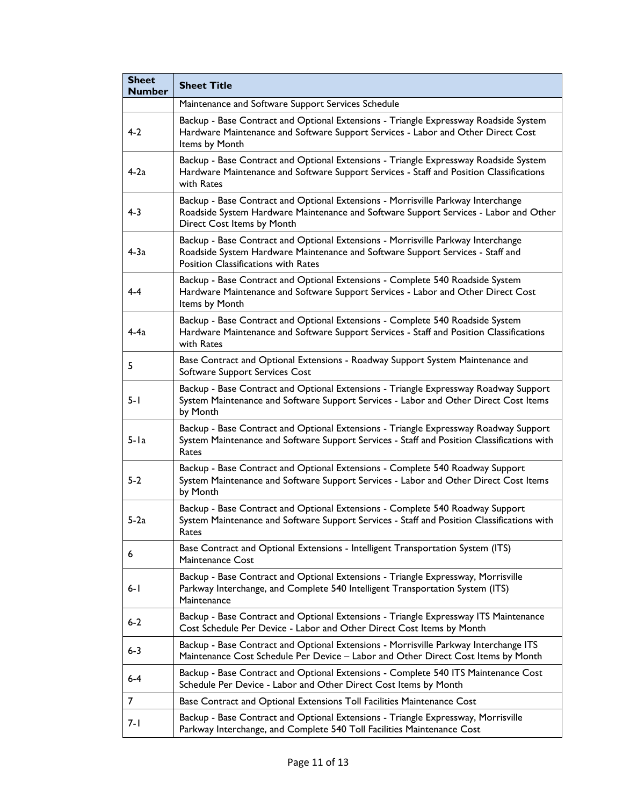| <b>Sheet</b><br><b>Number</b> | <b>Sheet Title</b>                                                                                                                                                                                               |  |  |
|-------------------------------|------------------------------------------------------------------------------------------------------------------------------------------------------------------------------------------------------------------|--|--|
|                               | Maintenance and Software Support Services Schedule                                                                                                                                                               |  |  |
| $4-2$                         | Backup - Base Contract and Optional Extensions - Triangle Expressway Roadside System<br>Hardware Maintenance and Software Support Services - Labor and Other Direct Cost<br>Items by Month                       |  |  |
| $4-2a$                        | Backup - Base Contract and Optional Extensions - Triangle Expressway Roadside System<br>Hardware Maintenance and Software Support Services - Staff and Position Classifications<br>with Rates                    |  |  |
| $4 - 3$                       | Backup - Base Contract and Optional Extensions - Morrisville Parkway Interchange<br>Roadside System Hardware Maintenance and Software Support Services - Labor and Other<br>Direct Cost Items by Month           |  |  |
| $4-3a$                        | Backup - Base Contract and Optional Extensions - Morrisville Parkway Interchange<br>Roadside System Hardware Maintenance and Software Support Services - Staff and<br><b>Position Classifications with Rates</b> |  |  |
| 4-4                           | Backup - Base Contract and Optional Extensions - Complete 540 Roadside System<br>Hardware Maintenance and Software Support Services - Labor and Other Direct Cost<br>Items by Month                              |  |  |
| $4-4a$                        | Backup - Base Contract and Optional Extensions - Complete 540 Roadside System<br>Hardware Maintenance and Software Support Services - Staff and Position Classifications<br>with Rates                           |  |  |
| 5                             | Base Contract and Optional Extensions - Roadway Support System Maintenance and<br>Software Support Services Cost                                                                                                 |  |  |
| $5 - 1$                       | Backup - Base Contract and Optional Extensions - Triangle Expressway Roadway Support<br>System Maintenance and Software Support Services - Labor and Other Direct Cost Items<br>by Month                         |  |  |
| $5 - Ia$                      | Backup - Base Contract and Optional Extensions - Triangle Expressway Roadway Support<br>System Maintenance and Software Support Services - Staff and Position Classifications with<br>Rates                      |  |  |
| $5 - 2$                       | Backup - Base Contract and Optional Extensions - Complete 540 Roadway Support<br>System Maintenance and Software Support Services - Labor and Other Direct Cost Items<br>by Month                                |  |  |
| $5-2a$                        | Backup - Base Contract and Optional Extensions - Complete 540 Roadway Support<br>System Maintenance and Software Support Services - Staff and Position Classifications with<br>Rates                             |  |  |
| 6                             | Base Contract and Optional Extensions - Intelligent Transportation System (ITS)<br><b>Maintenance Cost</b>                                                                                                       |  |  |
| 6- I                          | Backup - Base Contract and Optional Extensions - Triangle Expressway, Morrisville<br>Parkway Interchange, and Complete 540 Intelligent Transportation System (ITS)<br>Maintenance                                |  |  |
| $6 - 2$                       | Backup - Base Contract and Optional Extensions - Triangle Expressway ITS Maintenance<br>Cost Schedule Per Device - Labor and Other Direct Cost Items by Month                                                    |  |  |
| $6 - 3$                       | Backup - Base Contract and Optional Extensions - Morrisville Parkway Interchange ITS<br>Maintenance Cost Schedule Per Device - Labor and Other Direct Cost Items by Month                                        |  |  |
| $6-4$                         | Backup - Base Contract and Optional Extensions - Complete 540 ITS Maintenance Cost<br>Schedule Per Device - Labor and Other Direct Cost Items by Month                                                           |  |  |
| 7                             | Base Contract and Optional Extensions Toll Facilities Maintenance Cost                                                                                                                                           |  |  |
| 7- I                          | Backup - Base Contract and Optional Extensions - Triangle Expressway, Morrisville<br>Parkway Interchange, and Complete 540 Toll Facilities Maintenance Cost                                                      |  |  |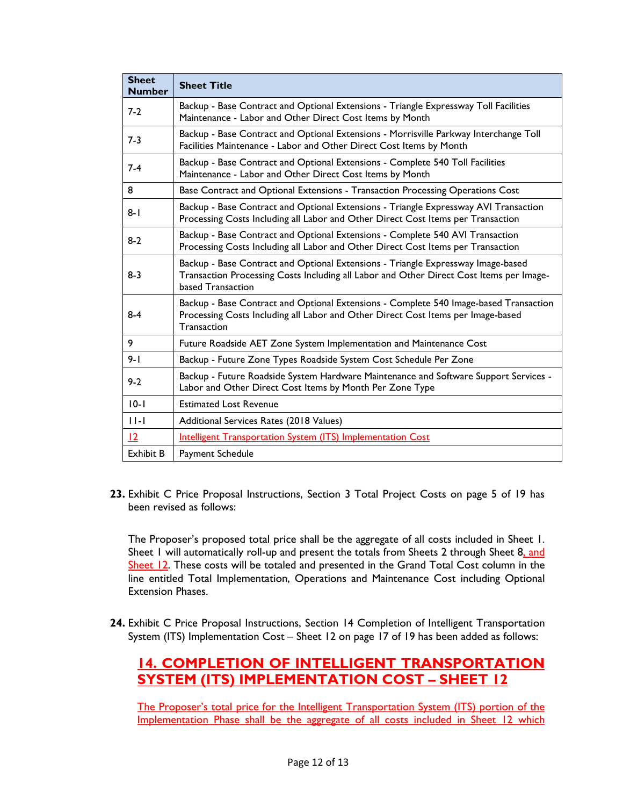| <b>Sheet</b><br><b>Number</b> | <b>Sheet Title</b>                                                                                                                                                                               |
|-------------------------------|--------------------------------------------------------------------------------------------------------------------------------------------------------------------------------------------------|
| $7-2$                         | Backup - Base Contract and Optional Extensions - Triangle Expressway Toll Facilities<br>Maintenance - Labor and Other Direct Cost Items by Month                                                 |
| $7-3$                         | Backup - Base Contract and Optional Extensions - Morrisville Parkway Interchange Toll<br>Facilities Maintenance - Labor and Other Direct Cost Items by Month                                     |
| $7-4$                         | Backup - Base Contract and Optional Extensions - Complete 540 Toll Facilities<br>Maintenance - Labor and Other Direct Cost Items by Month                                                        |
| 8                             | Base Contract and Optional Extensions - Transaction Processing Operations Cost                                                                                                                   |
| $8 - 1$                       | Backup - Base Contract and Optional Extensions - Triangle Expressway AVI Transaction<br>Processing Costs Including all Labor and Other Direct Cost Items per Transaction                         |
| $8-2$                         | Backup - Base Contract and Optional Extensions - Complete 540 AVI Transaction<br>Processing Costs Including all Labor and Other Direct Cost Items per Transaction                                |
| $8-3$                         | Backup - Base Contract and Optional Extensions - Triangle Expressway Image-based<br>Transaction Processing Costs Including all Labor and Other Direct Cost Items per Image-<br>based Transaction |
| $8 - 4$                       | Backup - Base Contract and Optional Extensions - Complete 540 Image-based Transaction<br>Processing Costs Including all Labor and Other Direct Cost Items per Image-based<br>Transaction         |
| 9                             | Future Roadside AET Zone System Implementation and Maintenance Cost                                                                                                                              |
| $9 - 1$                       | Backup - Future Zone Types Roadside System Cost Schedule Per Zone                                                                                                                                |
| $9 - 2$                       | Backup - Future Roadside System Hardware Maintenance and Software Support Services -<br>Labor and Other Direct Cost Items by Month Per Zone Type                                                 |
| $10-1$                        | <b>Estimated Lost Revenue</b>                                                                                                                                                                    |
| $11-1$                        | Additional Services Rates (2018 Values)                                                                                                                                                          |
| 12                            | Intelligent Transportation System (ITS) Implementation Cost                                                                                                                                      |
| <b>Exhibit B</b>              | Payment Schedule                                                                                                                                                                                 |

**23.** Exhibit C Price Proposal Instructions, Section 3 Total Project Costs on page 5 of 19 has been revised as follows:

The Proposer's proposed total price shall be the aggregate of all costs included in Sheet 1. Sheet 1 will automatically roll-up and present the totals from Sheets 2 through Sheet 8, and Sheet 12. These costs will be totaled and presented in the Grand Total Cost column in the line entitled Total Implementation, Operations and Maintenance Cost including Optional Extension Phases.

**24.** Exhibit C Price Proposal Instructions, Section 14 Completion of Intelligent Transportation System (ITS) Implementation Cost – Sheet 12 on page 17 of 19 has been added as follows:

# **14. COMPLETION OF INTELLIGENT TRANSPORTATION SYSTEM (ITS) IMPLEMENTATION COST – SHEET 12**

The Proposer's total price for the Intelligent Transportation System (ITS) portion of the Implementation Phase shall be the aggregate of all costs included in Sheet 12 which